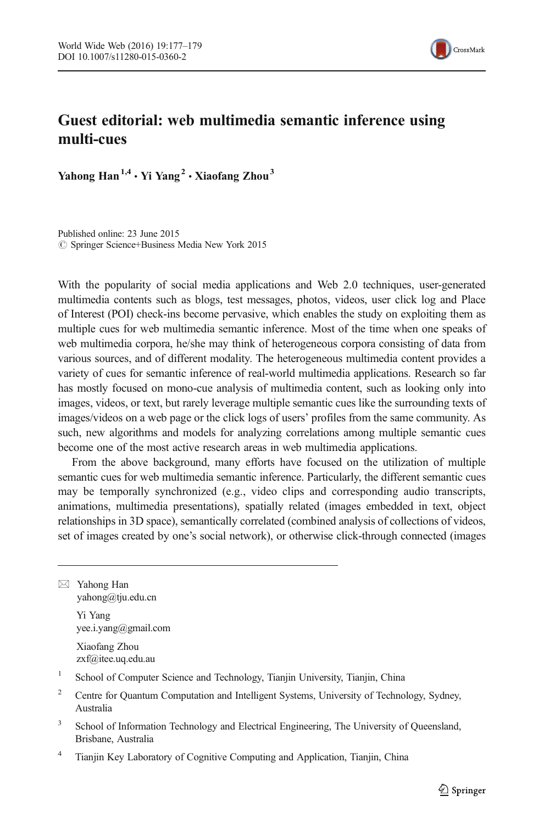

## Guest editorial: web multimedia semantic inference using multi-cues

Yahong Han<sup>1,4</sup> · Yi Yang<sup>2</sup> · Xiaofang Zhou<sup>3</sup>

Published online: 23 June 2015  $\oslash$  Springer Science+Business Media New York 2015

With the popularity of social media applications and Web 2.0 techniques, user-generated multimedia contents such as blogs, test messages, photos, videos, user click log and Place of Interest (POI) check-ins become pervasive, which enables the study on exploiting them as multiple cues for web multimedia semantic inference. Most of the time when one speaks of web multimedia corpora, he/she may think of heterogeneous corpora consisting of data from various sources, and of different modality. The heterogeneous multimedia content provides a variety of cues for semantic inference of real-world multimedia applications. Research so far has mostly focused on mono-cue analysis of multimedia content, such as looking only into images, videos, or text, but rarely leverage multiple semantic cues like the surrounding texts of images/videos on a web page or the click logs of users' profiles from the same community. As such, new algorithms and models for analyzing correlations among multiple semantic cues become one of the most active research areas in web multimedia applications.

From the above background, many efforts have focused on the utilization of multiple semantic cues for web multimedia semantic inference. Particularly, the different semantic cues may be temporally synchronized (e.g., video clips and corresponding audio transcripts, animations, multimedia presentations), spatially related (images embedded in text, object relationships in 3D space), semantically correlated (combined analysis of collections of videos, set of images created by one's social network), or otherwise click-through connected (images

 $\boxtimes$  Yahong Han yahong@tju.edu.cn

> Yi Yang yee.i.yang@gmail.com

Xiaofang Zhou zxf@itee.uq.edu.au

- <sup>1</sup> School of Computer Science and Technology, Tianjin University, Tianjin, China
- <sup>2</sup> Centre for Quantum Computation and Intelligent Systems, University of Technology, Sydney, Australia
- <sup>3</sup> School of Information Technology and Electrical Engineering, The University of Queensland, Brisbane, Australia
- <sup>4</sup> Tianjin Key Laboratory of Cognitive Computing and Application, Tianjin, China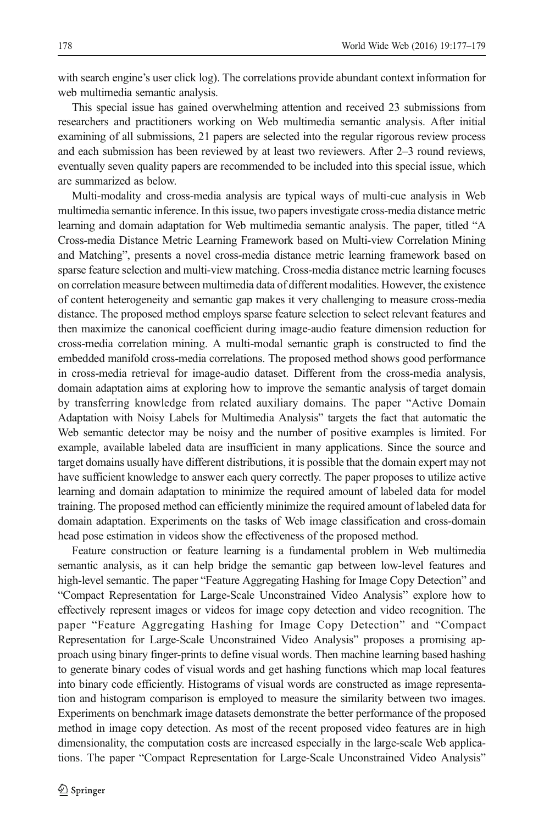with search engine's user click log). The correlations provide abundant context information for web multimedia semantic analysis.

This special issue has gained overwhelming attention and received 23 submissions from researchers and practitioners working on Web multimedia semantic analysis. After initial examining of all submissions, 21 papers are selected into the regular rigorous review process and each submission has been reviewed by at least two reviewers. After 2–3 round reviews, eventually seven quality papers are recommended to be included into this special issue, which are summarized as below.

Multi-modality and cross-media analysis are typical ways of multi-cue analysis in Web multimedia semantic inference. In this issue, two papers investigate cross-media distance metric learning and domain adaptation for Web multimedia semantic analysis. The paper, titled "A Cross-media Distance Metric Learning Framework based on Multi-view Correlation Mining and Matching", presents a novel cross-media distance metric learning framework based on sparse feature selection and multi-view matching. Cross-media distance metric learning focuses on correlation measure between multimedia data of different modalities. However, the existence of content heterogeneity and semantic gap makes it very challenging to measure cross-media distance. The proposed method employs sparse feature selection to select relevant features and then maximize the canonical coefficient during image-audio feature dimension reduction for cross-media correlation mining. A multi-modal semantic graph is constructed to find the embedded manifold cross-media correlations. The proposed method shows good performance in cross-media retrieval for image-audio dataset. Different from the cross-media analysis, domain adaptation aims at exploring how to improve the semantic analysis of target domain by transferring knowledge from related auxiliary domains. The paper "Active Domain Adaptation with Noisy Labels for Multimedia Analysis" targets the fact that automatic the Web semantic detector may be noisy and the number of positive examples is limited. For example, available labeled data are insufficient in many applications. Since the source and target domains usually have different distributions, it is possible that the domain expert may not have sufficient knowledge to answer each query correctly. The paper proposes to utilize active learning and domain adaptation to minimize the required amount of labeled data for model training. The proposed method can efficiently minimize the required amount of labeled data for domain adaptation. Experiments on the tasks of Web image classification and cross-domain head pose estimation in videos show the effectiveness of the proposed method.

Feature construction or feature learning is a fundamental problem in Web multimedia semantic analysis, as it can help bridge the semantic gap between low-level features and high-level semantic. The paper "Feature Aggregating Hashing for Image Copy Detection" and "Compact Representation for Large-Scale Unconstrained Video Analysis" explore how to effectively represent images or videos for image copy detection and video recognition. The paper "Feature Aggregating Hashing for Image Copy Detection" and "Compact Representation for Large-Scale Unconstrained Video Analysis" proposes a promising approach using binary finger-prints to define visual words. Then machine learning based hashing to generate binary codes of visual words and get hashing functions which map local features into binary code efficiently. Histograms of visual words are constructed as image representation and histogram comparison is employed to measure the similarity between two images. Experiments on benchmark image datasets demonstrate the better performance of the proposed method in image copy detection. As most of the recent proposed video features are in high dimensionality, the computation costs are increased especially in the large-scale Web applications. The paper "Compact Representation for Large-Scale Unconstrained Video Analysis"